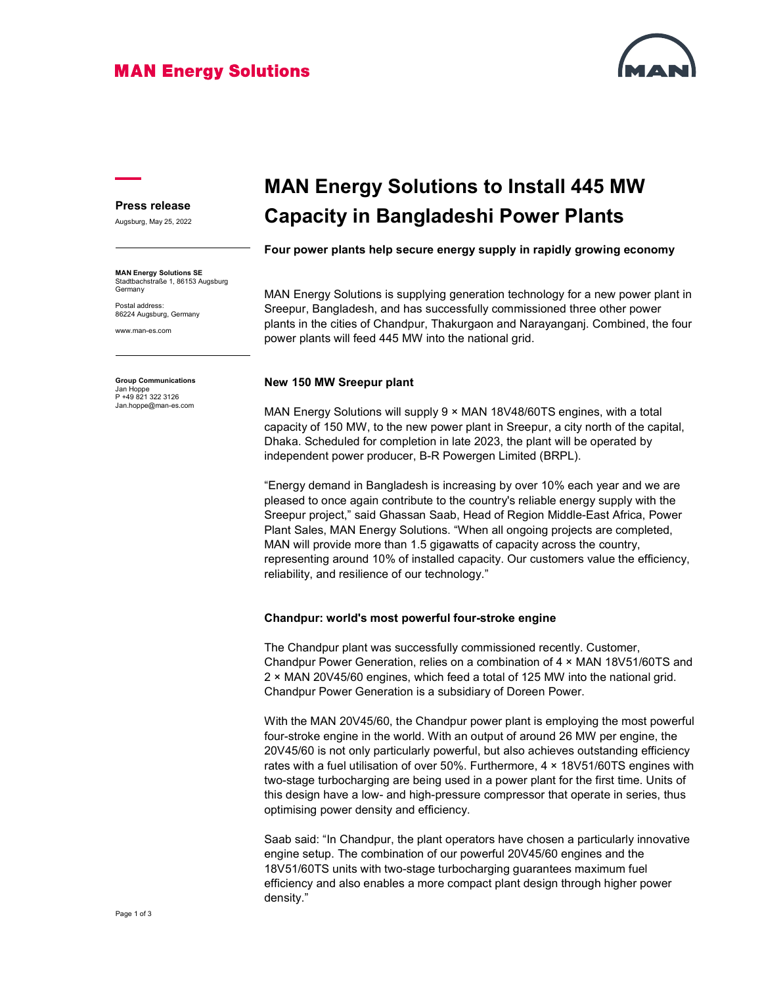### **MAN Energy Solutions**



#### Press release

Augsburg, May 25, 2022

MAN Energy Solutions SE Stadtbachstraße 1, 86153 Augsburg **Germany** 

Postal address: 86224 Augsburg, Germany

www.man-es.com

Group Communications Jan Hoppe P +49 821 322 3126 Jan.hoppe@man-es.com

# MAN Energy Solutions to Install 445 MW Capacity in Bangladeshi Power Plants

Four power plants help secure energy supply in rapidly growing economy

MAN Energy Solutions is supplying generation technology for a new power plant in Sreepur, Bangladesh, and has successfully commissioned three other power plants in the cities of Chandpur, Thakurgaon and Narayanganj. Combined, the four power plants will feed 445 MW into the national grid.

#### New 150 MW Sreepur plant

MAN Energy Solutions will supply 9 × MAN 18V48/60TS engines, with a total capacity of 150 MW, to the new power plant in Sreepur, a city north of the capital, Dhaka. Scheduled for completion in late 2023, the plant will be operated by independent power producer, B-R Powergen Limited (BRPL).

"Energy demand in Bangladesh is increasing by over 10% each year and we are pleased to once again contribute to the country's reliable energy supply with the Sreepur project," said Ghassan Saab, Head of Region Middle-East Africa, Power Plant Sales, MAN Energy Solutions. "When all ongoing projects are completed, MAN will provide more than 1.5 gigawatts of capacity across the country, representing around 10% of installed capacity. Our customers value the efficiency, reliability, and resilience of our technology."

#### Chandpur: world's most powerful four-stroke engine

The Chandpur plant was successfully commissioned recently. Customer, Chandpur Power Generation, relies on a combination of 4 × MAN 18V51/60TS and 2 × MAN 20V45/60 engines, which feed a total of 125 MW into the national grid. Chandpur Power Generation is a subsidiary of Doreen Power.

With the MAN 20V45/60, the Chandpur power plant is employing the most powerful four-stroke engine in the world. With an output of around 26 MW per engine, the 20V45/60 is not only particularly powerful, but also achieves outstanding efficiency rates with a fuel utilisation of over 50%. Furthermore, 4 × 18V51/60TS engines with two-stage turbocharging are being used in a power plant for the first time. Units of this design have a low- and high-pressure compressor that operate in series, thus optimising power density and efficiency.

Saab said: "In Chandpur, the plant operators have chosen a particularly innovative engine setup. The combination of our powerful 20V45/60 engines and the 18V51/60TS units with two-stage turbocharging guarantees maximum fuel efficiency and also enables a more compact plant design through higher power density."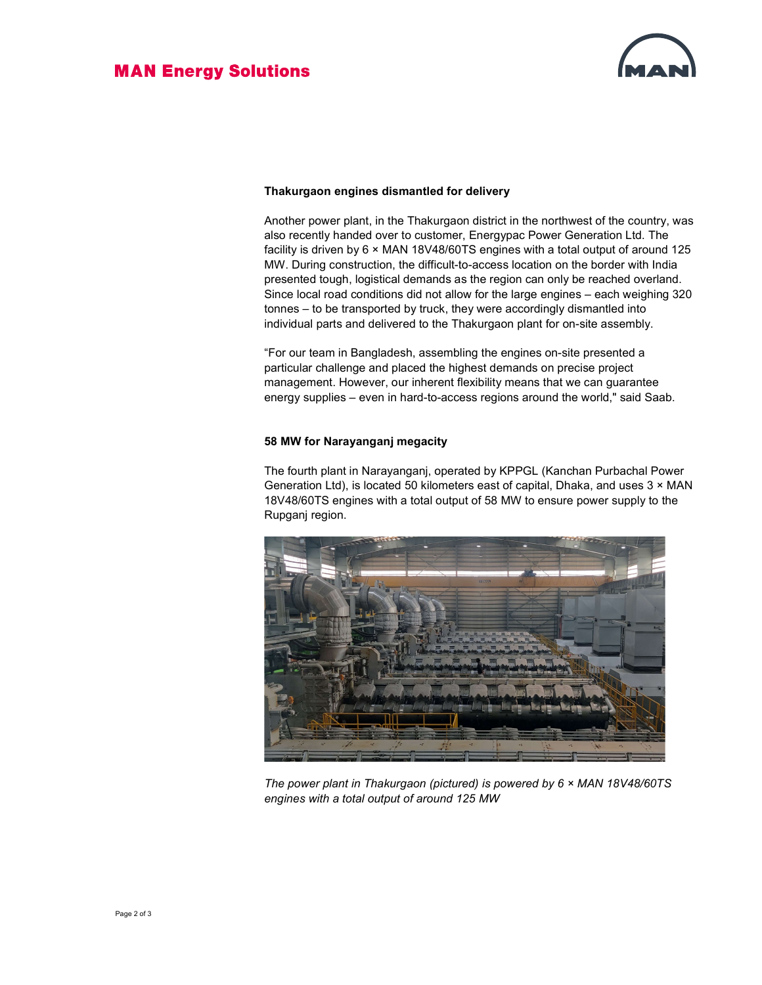

#### Thakurgaon engines dismantled for delivery

Another power plant, in the Thakurgaon district in the northwest of the country, was also recently handed over to customer, Energypac Power Generation Ltd. The facility is driven by 6 × MAN 18V48/60TS engines with a total output of around 125 MW. During construction, the difficult-to-access location on the border with India presented tough, logistical demands as the region can only be reached overland. Since local road conditions did not allow for the large engines – each weighing 320 tonnes – to be transported by truck, they were accordingly dismantled into individual parts and delivered to the Thakurgaon plant for on-site assembly.

"For our team in Bangladesh, assembling the engines on-site presented a particular challenge and placed the highest demands on precise project management. However, our inherent flexibility means that we can guarantee energy supplies – even in hard-to-access regions around the world," said Saab.

#### 58 MW for Narayanganj megacity

The fourth plant in Narayanganj, operated by KPPGL (Kanchan Purbachal Power Generation Ltd), is located 50 kilometers east of capital, Dhaka, and uses  $3 \times$  MAN 18V48/60TS engines with a total output of 58 MW to ensure power supply to the Rupganj region.



The power plant in Thakurgaon (pictured) is powered by  $6 \times$  MAN 18V48/60TS engines with a total output of around 125 MW